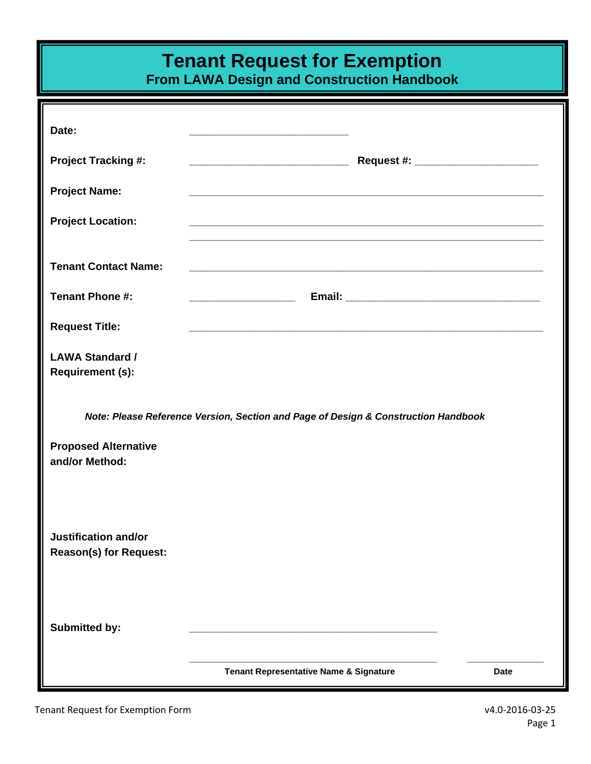## **Tenant Request for Exemption**

**From LAWA Design and Construction Handbook** 

| Date:                                                                              |                                                                                                                       |             |  |  |  |  |
|------------------------------------------------------------------------------------|-----------------------------------------------------------------------------------------------------------------------|-------------|--|--|--|--|
| <b>Project Tracking #:</b>                                                         |                                                                                                                       |             |  |  |  |  |
| <b>Project Name:</b>                                                               | <u> 1989 - Johann Stoff, deutscher Stoff, der Stoff, der Stoff, der Stoff, der Stoff, der Stoff, der Stoff, der S</u> |             |  |  |  |  |
| <b>Project Location:</b>                                                           |                                                                                                                       |             |  |  |  |  |
| <b>Tenant Contact Name:</b>                                                        |                                                                                                                       |             |  |  |  |  |
| <b>Tenant Phone #:</b>                                                             |                                                                                                                       |             |  |  |  |  |
| <b>Request Title:</b>                                                              |                                                                                                                       |             |  |  |  |  |
| <b>LAWA Standard /</b><br><b>Requirement (s):</b>                                  |                                                                                                                       |             |  |  |  |  |
| Note: Please Reference Version, Section and Page of Design & Construction Handbook |                                                                                                                       |             |  |  |  |  |
| <b>Proposed Alternative</b><br>and/or Method:                                      |                                                                                                                       |             |  |  |  |  |
| <b>Justification and/or</b><br><b>Reason(s) for Request:</b>                       |                                                                                                                       |             |  |  |  |  |
| <b>Submitted by:</b>                                                               |                                                                                                                       |             |  |  |  |  |
|                                                                                    | Tenant Representative Name & Signature                                                                                | <b>Date</b> |  |  |  |  |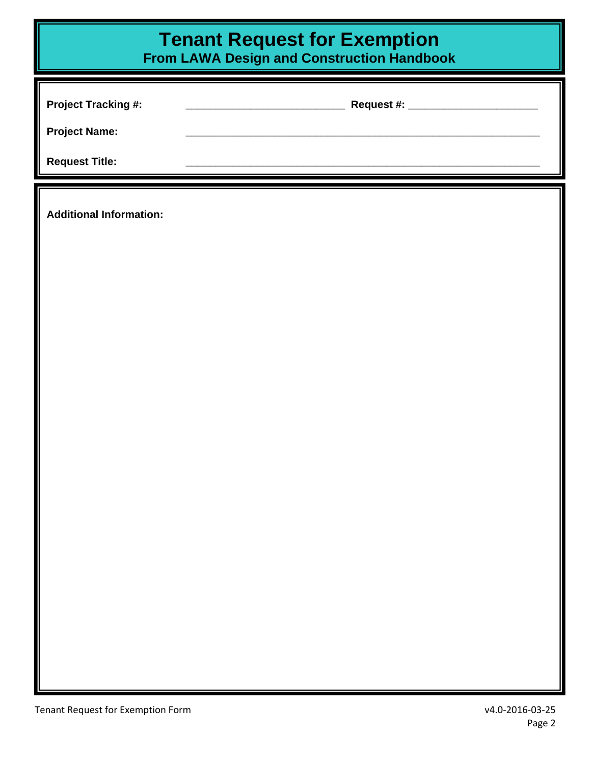## *Tenant Request for Exemption*

**From LAWA Design and Construction Handbook** 

| <b>Project Tracking #:</b> | Request #: ____ |
|----------------------------|-----------------|
| <b>Project Name:</b>       |                 |
| <b>Request Title:</b>      |                 |
|                            |                 |

**Additional Information:**